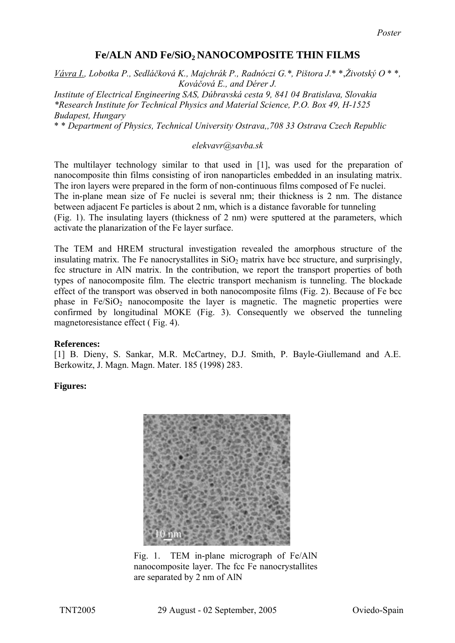## Fe/ALN AND Fe/SiO<sub>2</sub> NANOCOMPOSITE THIN FILMS

*Vávra I., Lobotka P., Sedláčková K., Majchrák P., Radnóczi G.\*, Pištora J.*\* \*,*Životský O* \* \**, Kováčová E., and Dérer J. Institute of Electrical Engineering SAS, Dúbravská cesta 9, 841 04 Bratislava, Slovakia \*Research Institute for Technical Physics and Material Science, P.O. Box 49, H-1525 Budapest, Hungary* 

\* \* *Department of Physics, Technical University Ostrava,,708 33 Ostrava Czech Republic* 

## *elekvavr@savba.sk*

The multilayer technology similar to that used in [1], was used for the preparation of nanocomposite thin films consisting of iron nanoparticles embedded in an insulating matrix. The iron layers were prepared in the form of non-continuous films composed of Fe nuclei. The in-plane mean size of Fe nuclei is several nm; their thickness is 2 nm. The distance between adjacent Fe particles is about 2 nm, which is a distance favorable for tunneling (Fig. 1). The insulating layers (thickness of 2 nm) were sputtered at the parameters, which activate the planarization of the Fe layer surface.

The TEM and HREM structural investigation revealed the amorphous structure of the insulating matrix. The Fe nanocrystallites in  $SiO<sub>2</sub>$  matrix have bcc structure, and surprisingly, fcc structure in AlN matrix. In the contribution, we report the transport properties of both types of nanocomposite film. The electric transport mechanism is tunneling. The blockade effect of the transport was observed in both nanocomposite films (Fig. 2). Because of Fe bcc phase in  $Fe/SiO<sub>2</sub>$  nanocomposite the layer is magnetic. The magnetic properties were confirmed by longitudinal MOKE (Fig. 3). Consequently we observed the tunneling magnetoresistance effect ( Fig. 4).

## **References:**

[1] B. Dieny, S. Sankar, M.R. McCartney, D.J. Smith, P. Bayle-Giullemand and A.E. Berkowitz, J. Magn. Magn. Mater. 185 (1998) 283.

## **Figures:**



Fig. 1. TEM in-plane micrograph of Fe/AlN nanocomposite layer. The fcc Fe nanocrystallites are separated by 2 nm of AlN